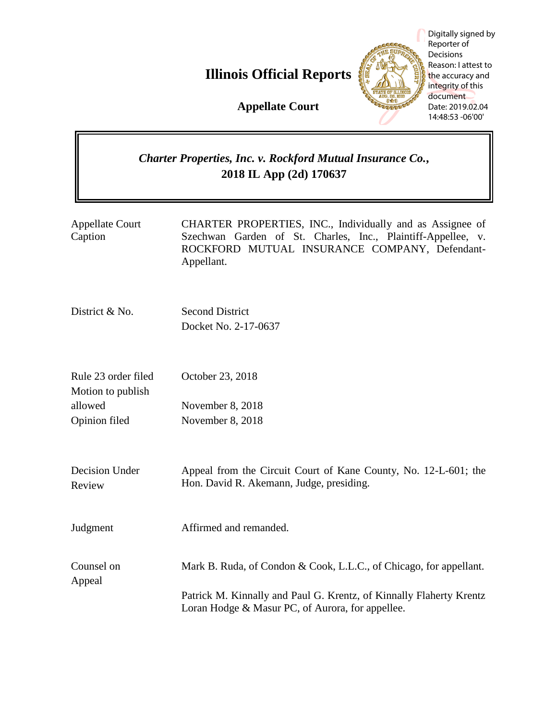# **Illinois Official Reports**



Digitally signed by Reporter of Decisions Reason: I attest to the accuracy and integrity of this document Date: 2019.02.04 14:48:53 -06'00'

**Appellate Court**

# *Charter Properties, Inc. v. Rockford Mutual Insurance Co.***, 2018 IL App (2d) 170637**

| <b>Appellate Court</b><br>Caption        | CHARTER PROPERTIES, INC., Individually and as Assignee of<br>Szechwan Garden of St. Charles, Inc., Plaintiff-Appellee, v.<br>ROCKFORD MUTUAL INSURANCE COMPANY, Defendant-<br>Appellant. |
|------------------------------------------|------------------------------------------------------------------------------------------------------------------------------------------------------------------------------------------|
| District & No.                           | <b>Second District</b><br>Docket No. 2-17-0637                                                                                                                                           |
| Rule 23 order filed<br>Motion to publish | October 23, 2018                                                                                                                                                                         |
| allowed                                  | November 8, 2018                                                                                                                                                                         |
| Opinion filed                            | November 8, 2018                                                                                                                                                                         |
| Decision Under<br>Review                 | Appeal from the Circuit Court of Kane County, No. 12-L-601; the<br>Hon. David R. Akemann, Judge, presiding.                                                                              |
| Judgment                                 | Affirmed and remanded.                                                                                                                                                                   |
| Counsel on<br>Appeal                     | Mark B. Ruda, of Condon & Cook, L.L.C., of Chicago, for appellant.                                                                                                                       |
|                                          | Patrick M. Kinnally and Paul G. Krentz, of Kinnally Flaherty Krentz<br>Loran Hodge & Masur PC, of Aurora, for appellee.                                                                  |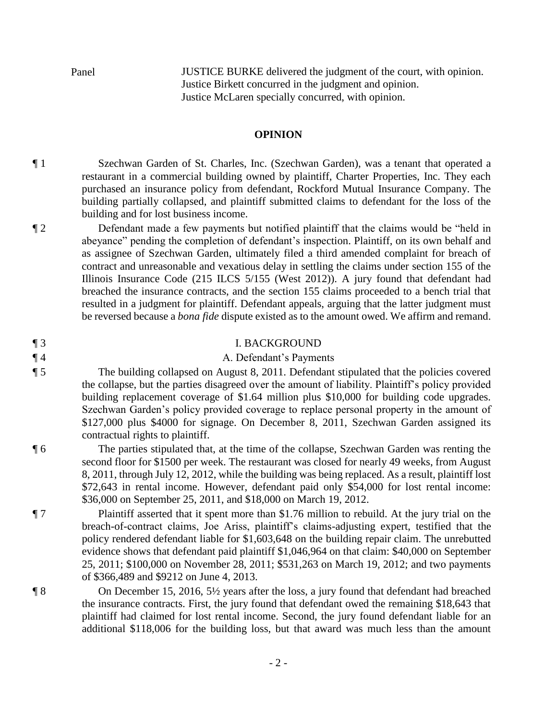Panel JUSTICE BURKE delivered the judgment of the court, with opinion. Justice Birkett concurred in the judgment and opinion. Justice McLaren specially concurred, with opinion.

#### **OPINION**

¶ 1 Szechwan Garden of St. Charles, Inc. (Szechwan Garden), was a tenant that operated a restaurant in a commercial building owned by plaintiff, Charter Properties, Inc. They each purchased an insurance policy from defendant, Rockford Mutual Insurance Company. The building partially collapsed, and plaintiff submitted claims to defendant for the loss of the building and for lost business income.

¶ 2 Defendant made a few payments but notified plaintiff that the claims would be "held in abeyance" pending the completion of defendant's inspection. Plaintiff, on its own behalf and as assignee of Szechwan Garden, ultimately filed a third amended complaint for breach of contract and unreasonable and vexatious delay in settling the claims under section 155 of the Illinois Insurance Code (215 ILCS 5/155 (West 2012)). A jury found that defendant had breached the insurance contracts, and the section 155 claims proceeded to a bench trial that resulted in a judgment for plaintiff. Defendant appeals, arguing that the latter judgment must be reversed because a *bona fide* dispute existed as to the amount owed. We affirm and remand.

#### ¶ 3 I. BACKGROUND

#### ¶ 4 A. Defendant's Payments

¶ 5 The building collapsed on August 8, 2011. Defendant stipulated that the policies covered the collapse, but the parties disagreed over the amount of liability. Plaintiff's policy provided building replacement coverage of \$1.64 million plus \$10,000 for building code upgrades. Szechwan Garden's policy provided coverage to replace personal property in the amount of \$127,000 plus \$4000 for signage. On December 8, 2011, Szechwan Garden assigned its contractual rights to plaintiff.

¶ 6 The parties stipulated that, at the time of the collapse, Szechwan Garden was renting the second floor for \$1500 per week. The restaurant was closed for nearly 49 weeks, from August 8, 2011, through July 12, 2012, while the building was being replaced. As a result, plaintiff lost \$72,643 in rental income. However, defendant paid only \$54,000 for lost rental income: \$36,000 on September 25, 2011, and \$18,000 on March 19, 2012.

¶ 7 Plaintiff asserted that it spent more than \$1.76 million to rebuild. At the jury trial on the breach-of-contract claims, Joe Ariss, plaintiff's claims-adjusting expert, testified that the policy rendered defendant liable for \$1,603,648 on the building repair claim. The unrebutted evidence shows that defendant paid plaintiff \$1,046,964 on that claim: \$40,000 on September 25, 2011; \$100,000 on November 28, 2011; \$531,263 on March 19, 2012; and two payments of \$366,489 and \$9212 on June 4, 2013.

¶ 8 On December 15, 2016, 5½ years after the loss, a jury found that defendant had breached the insurance contracts. First, the jury found that defendant owed the remaining \$18,643 that plaintiff had claimed for lost rental income. Second, the jury found defendant liable for an additional \$118,006 for the building loss, but that award was much less than the amount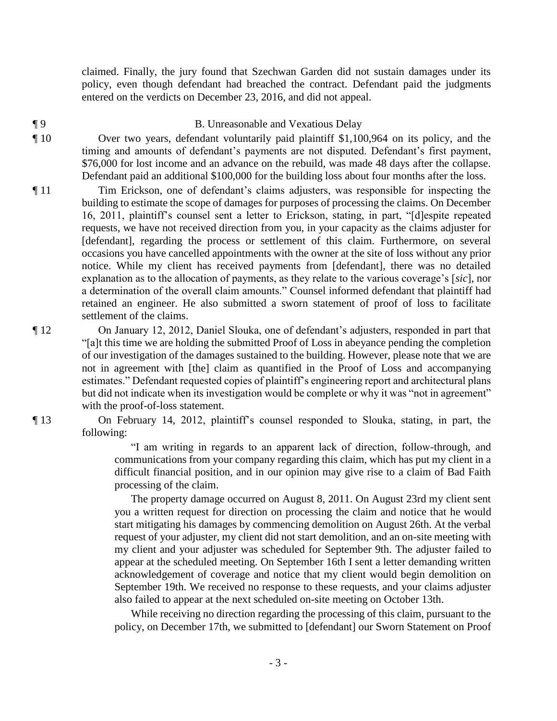claimed. Finally, the jury found that Szechwan Garden did not sustain damages under its policy, even though defendant had breached the contract. Defendant paid the judgments entered on the verdicts on December 23, 2016, and did not appeal.

### ¶ 9 B. Unreasonable and Vexatious Delay

¶ 10 Over two years, defendant voluntarily paid plaintiff \$1,100,964 on its policy, and the timing and amounts of defendant's payments are not disputed. Defendant's first payment, \$76,000 for lost income and an advance on the rebuild, was made 48 days after the collapse. Defendant paid an additional \$100,000 for the building loss about four months after the loss.

- ¶ 11 Tim Erickson, one of defendant's claims adjusters, was responsible for inspecting the building to estimate the scope of damages for purposes of processing the claims. On December 16, 2011, plaintiff's counsel sent a letter to Erickson, stating, in part, "[d]espite repeated requests, we have not received direction from you, in your capacity as the claims adjuster for [defendant], regarding the process or settlement of this claim. Furthermore, on several occasions you have cancelled appointments with the owner at the site of loss without any prior notice. While my client has received payments from [defendant], there was no detailed explanation as to the allocation of payments, as they relate to the various coverage's [*sic*], nor a determination of the overall claim amounts." Counsel informed defendant that plaintiff had retained an engineer. He also submitted a sworn statement of proof of loss to facilitate settlement of the claims.
- 

¶ 12 On January 12, 2012, Daniel Slouka, one of defendant's adjusters, responded in part that "[a]t this time we are holding the submitted Proof of Loss in abeyance pending the completion of our investigation of the damages sustained to the building. However, please note that we are not in agreement with [the] claim as quantified in the Proof of Loss and accompanying estimates." Defendant requested copies of plaintiff's engineering report and architectural plans but did not indicate when its investigation would be complete or why it was "not in agreement" with the proof-of-loss statement.

¶ 13 On February 14, 2012, plaintiff's counsel responded to Slouka, stating, in part, the following:

> "I am writing in regards to an apparent lack of direction, follow-through, and communications from your company regarding this claim, which has put my client in a difficult financial position, and in our opinion may give rise to a claim of Bad Faith processing of the claim.

> The property damage occurred on August 8, 2011. On August 23rd my client sent you a written request for direction on processing the claim and notice that he would start mitigating his damages by commencing demolition on August 26th. At the verbal request of your adjuster, my client did not start demolition, and an on-site meeting with my client and your adjuster was scheduled for September 9th. The adjuster failed to appear at the scheduled meeting. On September 16th I sent a letter demanding written acknowledgement of coverage and notice that my client would begin demolition on September 19th. We received no response to these requests, and your claims adjuster also failed to appear at the next scheduled on-site meeting on October 13th.

> While receiving no direction regarding the processing of this claim, pursuant to the policy, on December 17th, we submitted to [defendant] our Sworn Statement on Proof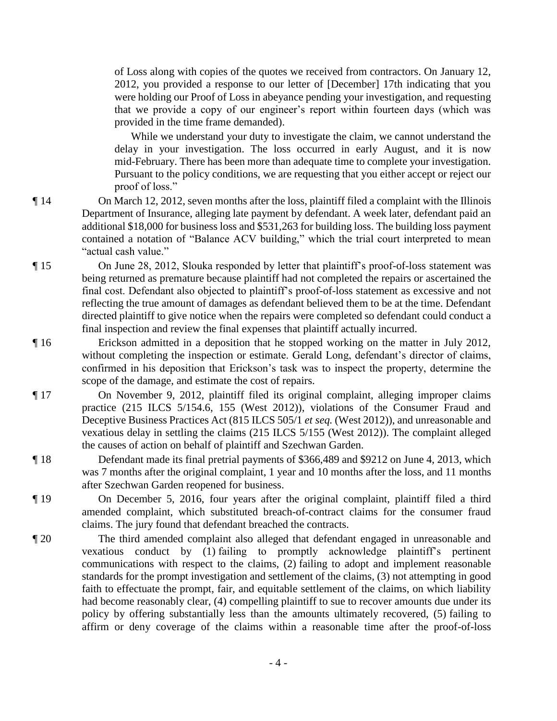of Loss along with copies of the quotes we received from contractors. On January 12, 2012, you provided a response to our letter of [December] 17th indicating that you were holding our Proof of Loss in abeyance pending your investigation, and requesting that we provide a copy of our engineer's report within fourteen days (which was provided in the time frame demanded).

 While we understand your duty to investigate the claim, we cannot understand the delay in your investigation. The loss occurred in early August, and it is now mid-February. There has been more than adequate time to complete your investigation. Pursuant to the policy conditions, we are requesting that you either accept or reject our proof of loss."

- ¶ 14 On March 12, 2012, seven months after the loss, plaintiff filed a complaint with the Illinois Department of Insurance, alleging late payment by defendant. A week later, defendant paid an additional \$18,000 for business loss and \$531,263 for building loss. The building loss payment contained a notation of "Balance ACV building," which the trial court interpreted to mean "actual cash value."
- ¶ 15 On June 28, 2012, Slouka responded by letter that plaintiff's proof-of-loss statement was being returned as premature because plaintiff had not completed the repairs or ascertained the final cost. Defendant also objected to plaintiff's proof-of-loss statement as excessive and not reflecting the true amount of damages as defendant believed them to be at the time. Defendant directed plaintiff to give notice when the repairs were completed so defendant could conduct a final inspection and review the final expenses that plaintiff actually incurred.
- ¶ 16 Erickson admitted in a deposition that he stopped working on the matter in July 2012, without completing the inspection or estimate. Gerald Long, defendant's director of claims, confirmed in his deposition that Erickson's task was to inspect the property, determine the scope of the damage, and estimate the cost of repairs.
- ¶ 17 On November 9, 2012, plaintiff filed its original complaint, alleging improper claims practice (215 ILCS 5/154.6, 155 (West 2012)), violations of the Consumer Fraud and Deceptive Business Practices Act (815 ILCS 505/1 *et seq.* (West 2012)), and unreasonable and vexatious delay in settling the claims (215 ILCS 5/155 (West 2012)). The complaint alleged the causes of action on behalf of plaintiff and Szechwan Garden.
- ¶ 18 Defendant made its final pretrial payments of \$366,489 and \$9212 on June 4, 2013, which was 7 months after the original complaint, 1 year and 10 months after the loss, and 11 months after Szechwan Garden reopened for business.
- ¶ 19 On December 5, 2016, four years after the original complaint, plaintiff filed a third amended complaint, which substituted breach-of-contract claims for the consumer fraud claims. The jury found that defendant breached the contracts.
- ¶ 20 The third amended complaint also alleged that defendant engaged in unreasonable and vexatious conduct by (1) failing to promptly acknowledge plaintiff's pertinent communications with respect to the claims, (2) failing to adopt and implement reasonable standards for the prompt investigation and settlement of the claims, (3) not attempting in good faith to effectuate the prompt, fair, and equitable settlement of the claims, on which liability had become reasonably clear, (4) compelling plaintiff to sue to recover amounts due under its policy by offering substantially less than the amounts ultimately recovered, (5) failing to affirm or deny coverage of the claims within a reasonable time after the proof-of-loss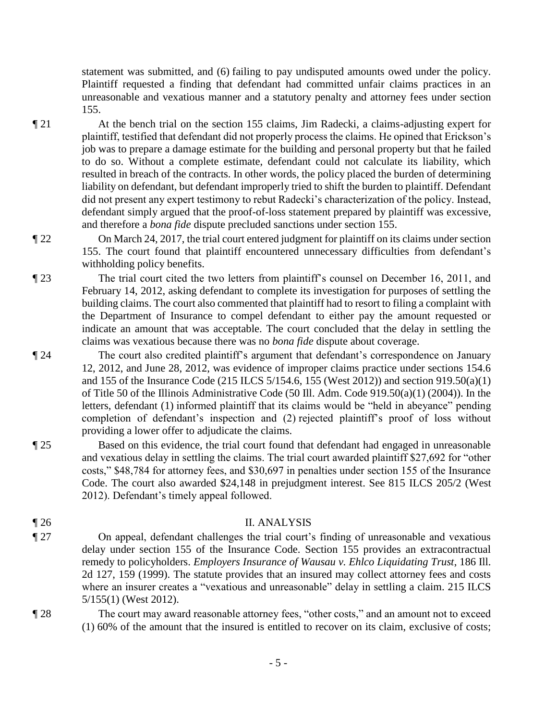statement was submitted, and (6) failing to pay undisputed amounts owed under the policy. Plaintiff requested a finding that defendant had committed unfair claims practices in an unreasonable and vexatious manner and a statutory penalty and attorney fees under section 155.

¶ 21 At the bench trial on the section 155 claims, Jim Radecki, a claims-adjusting expert for plaintiff, testified that defendant did not properly process the claims. He opined that Erickson's job was to prepare a damage estimate for the building and personal property but that he failed to do so. Without a complete estimate, defendant could not calculate its liability, which resulted in breach of the contracts. In other words, the policy placed the burden of determining liability on defendant, but defendant improperly tried to shift the burden to plaintiff. Defendant did not present any expert testimony to rebut Radecki's characterization of the policy. Instead, defendant simply argued that the proof-of-loss statement prepared by plaintiff was excessive, and therefore a *bona fide* dispute precluded sanctions under section 155.

¶ 22 On March 24, 2017, the trial court entered judgment for plaintiff on its claims under section 155. The court found that plaintiff encountered unnecessary difficulties from defendant's withholding policy benefits.

¶ 23 The trial court cited the two letters from plaintiff's counsel on December 16, 2011, and February 14, 2012, asking defendant to complete its investigation for purposes of settling the building claims. The court also commented that plaintiff had to resort to filing a complaint with the Department of Insurance to compel defendant to either pay the amount requested or indicate an amount that was acceptable. The court concluded that the delay in settling the claims was vexatious because there was no *bona fide* dispute about coverage.

¶ 24 The court also credited plaintiff's argument that defendant's correspondence on January 12, 2012, and June 28, 2012, was evidence of improper claims practice under sections 154.6 and 155 of the Insurance Code (215 ILCS 5/154.6, 155 (West 2012)) and section 919.50(a)(1) of Title 50 of the Illinois Administrative Code (50 Ill. Adm. Code 919.50(a)(1) (2004)). In the letters, defendant (1) informed plaintiff that its claims would be "held in abeyance" pending completion of defendant's inspection and (2) rejected plaintiff's proof of loss without providing a lower offer to adjudicate the claims.

¶ 25 Based on this evidence, the trial court found that defendant had engaged in unreasonable and vexatious delay in settling the claims. The trial court awarded plaintiff \$27,692 for "other costs," \$48,784 for attorney fees, and \$30,697 in penalties under section 155 of the Insurance Code. The court also awarded \$24,148 in prejudgment interest. See 815 ILCS 205/2 (West 2012). Defendant's timely appeal followed.

## ¶ 26 II. ANALYSIS

- ¶ 27 On appeal, defendant challenges the trial court's finding of unreasonable and vexatious delay under section 155 of the Insurance Code. Section 155 provides an extracontractual remedy to policyholders. *Employers Insurance of Wausau v. Ehlco Liquidating Trust*, 186 Ill. 2d 127, 159 (1999). The statute provides that an insured may collect attorney fees and costs where an insurer creates a "vexatious and unreasonable" delay in settling a claim. 215 ILCS 5/155(1) (West 2012).
- ¶ 28 The court may award reasonable attorney fees, "other costs," and an amount not to exceed (1) 60% of the amount that the insured is entitled to recover on its claim, exclusive of costs;

- 5 -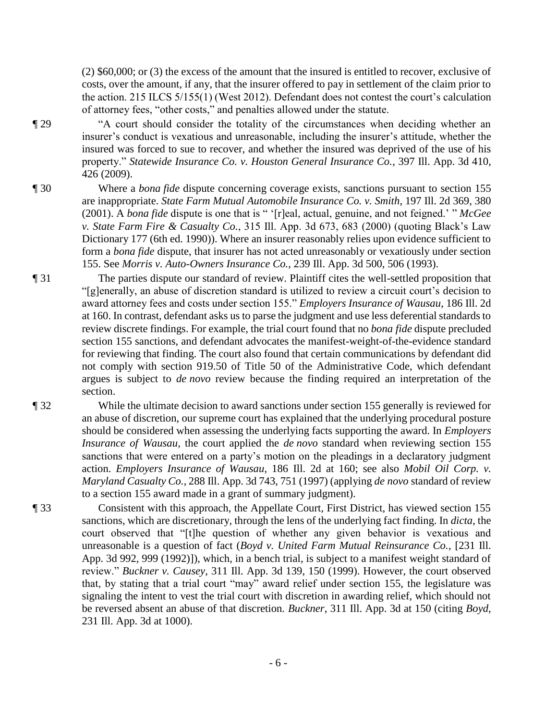(2) \$60,000; or (3) the excess of the amount that the insured is entitled to recover, exclusive of costs, over the amount, if any, that the insurer offered to pay in settlement of the claim prior to the action. 215 ILCS 5/155(1) (West 2012). Defendant does not contest the court's calculation of attorney fees, "other costs," and penalties allowed under the statute.

¶ 29 "A court should consider the totality of the circumstances when deciding whether an insurer's conduct is vexatious and unreasonable, including the insurer's attitude, whether the insured was forced to sue to recover, and whether the insured was deprived of the use of his property." *Statewide Insurance Co. v. Houston General Insurance Co.*, 397 Ill. App. 3d 410, 426 (2009).

¶ 30 Where a *bona fide* dispute concerning coverage exists, sanctions pursuant to section 155 are inappropriate. *State Farm Mutual Automobile Insurance Co. v. Smith*, 197 Ill. 2d 369, 380 (2001). A *bona fide* dispute is one that is " '[r]eal, actual, genuine, and not feigned.' " *McGee v. State Farm Fire & Casualty Co.*, 315 Ill. App. 3d 673, 683 (2000) (quoting Black's Law Dictionary 177 (6th ed. 1990)). Where an insurer reasonably relies upon evidence sufficient to form a *bona fide* dispute, that insurer has not acted unreasonably or vexatiously under section 155. See *Morris v. Auto-Owners Insurance Co.*, 239 Ill. App. 3d 500, 506 (1993).

¶ 31 The parties dispute our standard of review. Plaintiff cites the well-settled proposition that "[g]enerally, an abuse of discretion standard is utilized to review a circuit court's decision to award attorney fees and costs under section 155." *Employers Insurance of Wausau*, 186 Ill. 2d at 160. In contrast, defendant asks us to parse the judgment and use less deferential standards to review discrete findings. For example, the trial court found that no *bona fide* dispute precluded section 155 sanctions, and defendant advocates the manifest-weight-of-the-evidence standard for reviewing that finding. The court also found that certain communications by defendant did not comply with section 919.50 of Title 50 of the Administrative Code, which defendant argues is subject to *de novo* review because the finding required an interpretation of the section.

- ¶ 32 While the ultimate decision to award sanctions under section 155 generally is reviewed for an abuse of discretion, our supreme court has explained that the underlying procedural posture should be considered when assessing the underlying facts supporting the award. In *Employers Insurance of Wausau*, the court applied the *de novo* standard when reviewing section 155 sanctions that were entered on a party's motion on the pleadings in a declaratory judgment action. *Employers Insurance of Wausau*, 186 Ill. 2d at 160; see also *Mobil Oil Corp. v. Maryland Casualty Co.*, 288 Ill. App. 3d 743, 751 (1997) (applying *de novo* standard of review to a section 155 award made in a grant of summary judgment).
- ¶ 33 Consistent with this approach, the Appellate Court, First District, has viewed section 155 sanctions, which are discretionary, through the lens of the underlying fact finding. In *dicta*, the court observed that "[t]he question of whether any given behavior is vexatious and unreasonable is a question of fact (*Boyd v. United Farm Mutual Reinsurance Co.*, [231 Ill. App. 3d 992, 999 (1992)]), which, in a bench trial, is subject to a manifest weight standard of review." *Buckner v. Causey*, 311 Ill. App. 3d 139, 150 (1999). However, the court observed that, by stating that a trial court "may" award relief under section 155, the legislature was signaling the intent to vest the trial court with discretion in awarding relief, which should not be reversed absent an abuse of that discretion. *Buckner*, 311 Ill. App. 3d at 150 (citing *Boyd*, 231 Ill. App. 3d at 1000).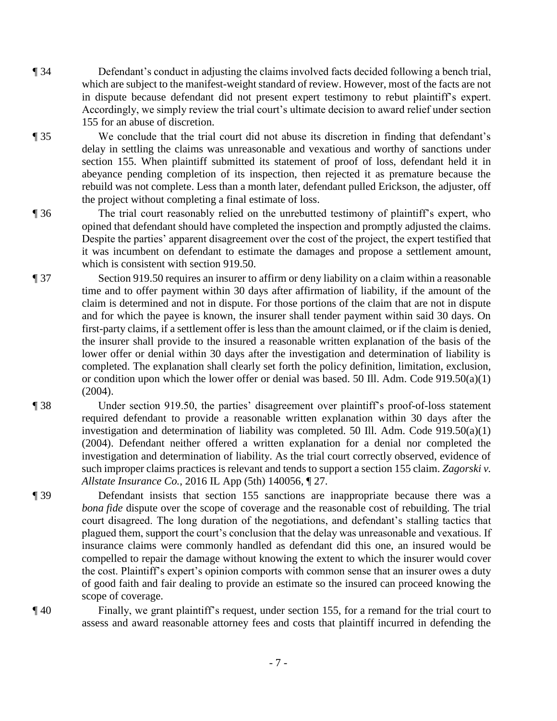¶ 34 Defendant's conduct in adjusting the claims involved facts decided following a bench trial, which are subject to the manifest-weight standard of review. However, most of the facts are not in dispute because defendant did not present expert testimony to rebut plaintiff's expert. Accordingly, we simply review the trial court's ultimate decision to award relief under section 155 for an abuse of discretion.

¶ 35 We conclude that the trial court did not abuse its discretion in finding that defendant's delay in settling the claims was unreasonable and vexatious and worthy of sanctions under section 155. When plaintiff submitted its statement of proof of loss, defendant held it in abeyance pending completion of its inspection, then rejected it as premature because the rebuild was not complete. Less than a month later, defendant pulled Erickson, the adjuster, off the project without completing a final estimate of loss.

¶ 36 The trial court reasonably relied on the unrebutted testimony of plaintiff's expert, who opined that defendant should have completed the inspection and promptly adjusted the claims. Despite the parties' apparent disagreement over the cost of the project, the expert testified that it was incumbent on defendant to estimate the damages and propose a settlement amount, which is consistent with section 919.50.

¶ 37 Section 919.50 requires an insurer to affirm or deny liability on a claim within a reasonable time and to offer payment within 30 days after affirmation of liability, if the amount of the claim is determined and not in dispute. For those portions of the claim that are not in dispute and for which the payee is known, the insurer shall tender payment within said 30 days. On first-party claims, if a settlement offer is less than the amount claimed, or if the claim is denied, the insurer shall provide to the insured a reasonable written explanation of the basis of the lower offer or denial within 30 days after the investigation and determination of liability is completed. The explanation shall clearly set forth the policy definition, limitation, exclusion, or condition upon which the lower offer or denial was based. 50 Ill. Adm. Code 919.50(a)(1) (2004).

¶ 38 Under section 919.50, the parties' disagreement over plaintiff's proof-of-loss statement required defendant to provide a reasonable written explanation within 30 days after the investigation and determination of liability was completed. 50 Ill. Adm. Code 919.50(a)(1) (2004). Defendant neither offered a written explanation for a denial nor completed the investigation and determination of liability. As the trial court correctly observed, evidence of such improper claims practices is relevant and tends to support a section 155 claim. *Zagorski v. Allstate Insurance Co.*, 2016 IL App (5th) 140056, ¶ 27.

¶ 39 Defendant insists that section 155 sanctions are inappropriate because there was a *bona fide* dispute over the scope of coverage and the reasonable cost of rebuilding. The trial court disagreed. The long duration of the negotiations, and defendant's stalling tactics that plagued them, support the court's conclusion that the delay was unreasonable and vexatious. If insurance claims were commonly handled as defendant did this one, an insured would be compelled to repair the damage without knowing the extent to which the insurer would cover the cost. Plaintiff's expert's opinion comports with common sense that an insurer owes a duty of good faith and fair dealing to provide an estimate so the insured can proceed knowing the scope of coverage.

¶ 40 Finally, we grant plaintiff's request, under section 155, for a remand for the trial court to assess and award reasonable attorney fees and costs that plaintiff incurred in defending the

- 7 -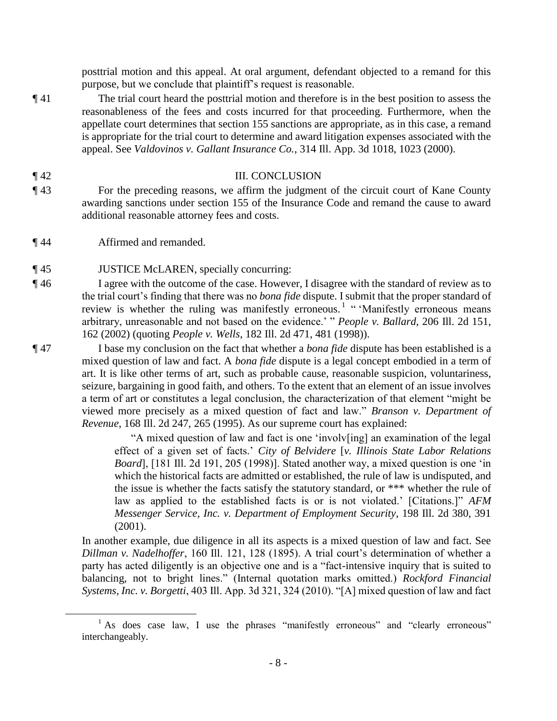posttrial motion and this appeal. At oral argument, defendant objected to a remand for this purpose, but we conclude that plaintiff's request is reasonable.

¶ 41 The trial court heard the posttrial motion and therefore is in the best position to assess the reasonableness of the fees and costs incurred for that proceeding. Furthermore, when the appellate court determines that section 155 sanctions are appropriate, as in this case, a remand is appropriate for the trial court to determine and award litigation expenses associated with the appeal. See *Valdovinos v. Gallant Insurance Co.*, 314 Ill. App. 3d 1018, 1023 (2000).

#### ¶ 42 III. CONCLUSION

- ¶ 43 For the preceding reasons, we affirm the judgment of the circuit court of Kane County awarding sanctions under section 155 of the Insurance Code and remand the cause to award additional reasonable attorney fees and costs.
- ¶ 44 Affirmed and remanded.

 $\overline{a}$ 

- ¶ 45 JUSTICE McLAREN, specially concurring:
- ¶ 46 I agree with the outcome of the case. However, I disagree with the standard of review as to the trial court's finding that there was no *bona fide* dispute. I submit that the proper standard of review is whether the ruling was manifestly erroneous.<sup>1</sup> "'Manifestly erroneous means arbitrary, unreasonable and not based on the evidence.' " *People v. Ballard*, 206 Ill. 2d 151, 162 (2002) (quoting *People v. Wells*, 182 Ill. 2d 471, 481 (1998)).
- ¶ 47 I base my conclusion on the fact that whether a *bona fide* dispute has been established is a mixed question of law and fact. A *bona fide* dispute is a legal concept embodied in a term of art. It is like other terms of art, such as probable cause, reasonable suspicion, voluntariness, seizure, bargaining in good faith, and others. To the extent that an element of an issue involves a term of art or constitutes a legal conclusion, the characterization of that element "might be viewed more precisely as a mixed question of fact and law." *Branson v. Department of Revenue*, 168 Ill. 2d 247, 265 (1995). As our supreme court has explained:

"A mixed question of law and fact is one 'involv[ing] an examination of the legal effect of a given set of facts.' *City of Belvidere* [*v. Illinois State Labor Relations Board*], [181 Ill. 2d 191, 205 (1998)]. Stated another way, a mixed question is one 'in which the historical facts are admitted or established, the rule of law is undisputed, and the issue is whether the facts satisfy the statutory standard, or \*\*\* whether the rule of law as applied to the established facts is or is not violated.' [Citations.]" *AFM Messenger Service, Inc. v. Department of Employment Security*, 198 Ill. 2d 380, 391 (2001).

In another example, due diligence in all its aspects is a mixed question of law and fact. See *Dillman v. Nadelhoffer*, 160 Ill. 121, 128 (1895). A trial court's determination of whether a party has acted diligently is an objective one and is a "fact-intensive inquiry that is suited to balancing, not to bright lines." (Internal quotation marks omitted.) *Rockford Financial Systems, Inc. v. Borgetti*, 403 Ill. App. 3d 321, 324 (2010). "[A] mixed question of law and fact

<sup>&</sup>lt;sup>1</sup> As does case law, I use the phrases "manifestly erroneous" and "clearly erroneous" interchangeably.